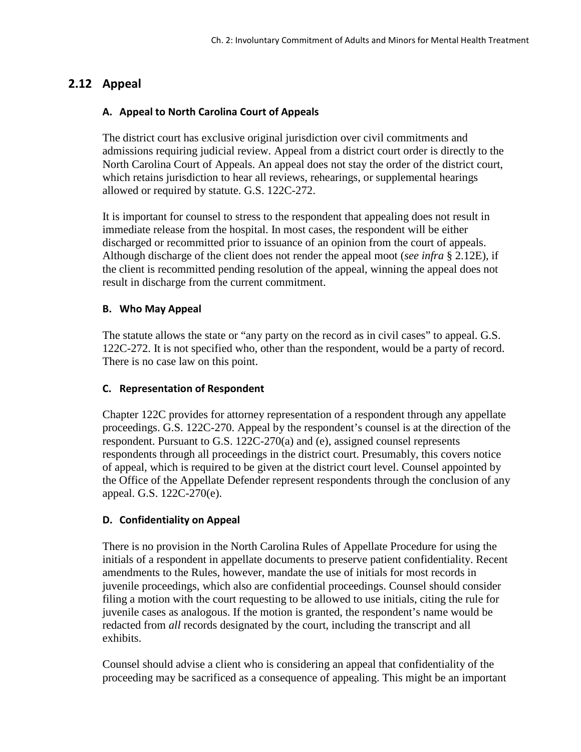# **2.12 Appeal**

## **A. Appeal to North Carolina Court of Appeals**

The district court has exclusive original jurisdiction over civil commitments and admissions requiring judicial review. Appeal from a district court order is directly to the North Carolina Court of Appeals. An appeal does not stay the order of the district court, which retains jurisdiction to hear all reviews, rehearings, or supplemental hearings allowed or required by statute. G.S. 122C-272.

It is important for counsel to stress to the respondent that appealing does not result in immediate release from the hospital. In most cases, the respondent will be either discharged or recommitted prior to issuance of an opinion from the court of appeals. Although discharge of the client does not render the appeal moot (*see infra* § 2.12E), if the client is recommitted pending resolution of the appeal, winning the appeal does not result in discharge from the current commitment.

### **B. Who May Appeal**

The statute allows the state or "any party on the record as in civil cases" to appeal. G.S. 122C-272. It is not specified who, other than the respondent, would be a party of record. There is no case law on this point.

### **C. Representation of Respondent**

Chapter 122C provides for attorney representation of a respondent through any appellate proceedings. G.S. 122C-270. Appeal by the respondent's counsel is at the direction of the respondent. Pursuant to G.S. 122C-270(a) and (e), assigned counsel represents respondents through all proceedings in the district court. Presumably, this covers notice of appeal, which is required to be given at the district court level. Counsel appointed by the Office of the Appellate Defender represent respondents through the conclusion of any appeal. G.S. 122C-270(e).

### **D. Confidentiality on Appeal**

There is no provision in the North Carolina Rules of Appellate Procedure for using the initials of a respondent in appellate documents to preserve patient confidentiality. Recent amendments to the Rules, however, mandate the use of initials for most records in juvenile proceedings, which also are confidential proceedings. Counsel should consider filing a motion with the court requesting to be allowed to use initials, citing the rule for juvenile cases as analogous. If the motion is granted, the respondent's name would be redacted from *all* records designated by the court, including the transcript and all exhibits.

Counsel should advise a client who is considering an appeal that confidentiality of the proceeding may be sacrificed as a consequence of appealing. This might be an important